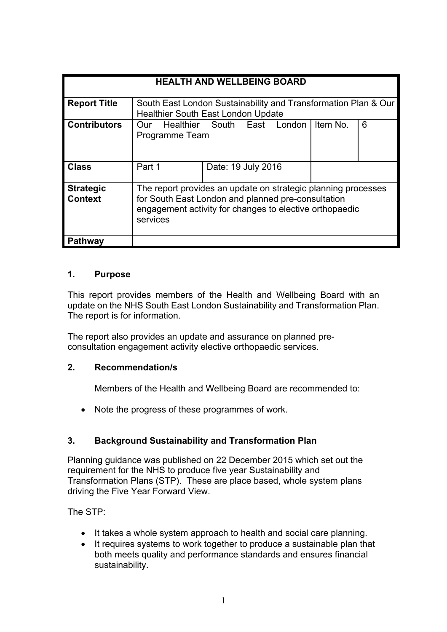| <b>HEALTH AND WELLBEING BOARD</b>  |                                                                                                                                                                                            |                    |  |  |          |   |
|------------------------------------|--------------------------------------------------------------------------------------------------------------------------------------------------------------------------------------------|--------------------|--|--|----------|---|
| <b>Report Title</b>                | South East London Sustainability and Transformation Plan & Our<br><b>Healthier South East London Update</b>                                                                                |                    |  |  |          |   |
| <b>Contributors</b>                | Healthier South East London<br>Our<br>Programme Team                                                                                                                                       |                    |  |  | Item No. | 6 |
| <b>Class</b>                       | Part 1                                                                                                                                                                                     | Date: 19 July 2016 |  |  |          |   |
| <b>Strategic</b><br><b>Context</b> | The report provides an update on strategic planning processes<br>for South East London and planned pre-consultation<br>engagement activity for changes to elective orthopaedic<br>services |                    |  |  |          |   |
| Pathway                            |                                                                                                                                                                                            |                    |  |  |          |   |

#### **1. Purpose**

This report provides members of the Health and Wellbeing Board with an update on the NHS South East London Sustainability and Transformation Plan. The report is for information.

The report also provides an update and assurance on planned preconsultation engagement activity elective orthopaedic services.

### **2. Recommendation/s**

Members of the Health and Wellbeing Board are recommended to:

• Note the progress of these programmes of work.

## **3. Background Sustainability and Transformation Plan**

Planning guidance was published on 22 December 2015 which set out the requirement for the NHS to produce five year Sustainability and Transformation Plans (STP). These are place based, whole system plans driving the Five Year Forward View.

The STP:

- It takes a whole system approach to health and social care planning.
- It requires systems to work together to produce a sustainable plan that both meets quality and performance standards and ensures financial sustainability.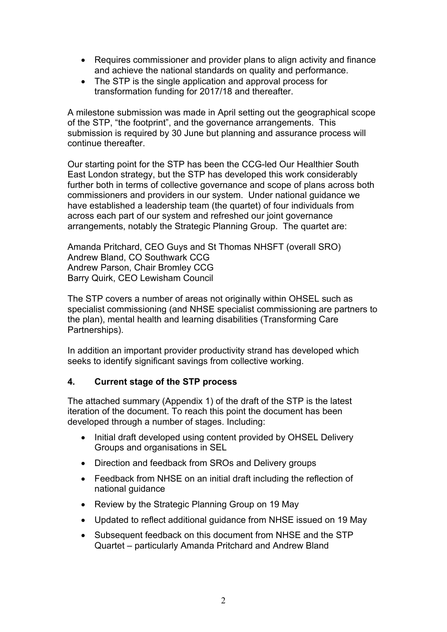- Requires commissioner and provider plans to align activity and finance and achieve the national standards on quality and performance.
- The STP is the single application and approval process for transformation funding for 2017/18 and thereafter.

A milestone submission was made in April setting out the geographical scope of the STP, "the footprint", and the governance arrangements. This submission is required by 30 June but planning and assurance process will continue thereafter.

Our starting point for the STP has been the CCG-led Our Healthier South East London strategy, but the STP has developed this work considerably further both in terms of collective governance and scope of plans across both commissioners and providers in our system. Under national guidance we have established a leadership team (the quartet) of four individuals from across each part of our system and refreshed our joint governance arrangements, notably the Strategic Planning Group. The quartet are:

Amanda Pritchard, CEO Guys and St Thomas NHSFT (overall SRO) Andrew Bland, CO Southwark CCG Andrew Parson, Chair Bromley CCG Barry Quirk, CEO Lewisham Council

The STP covers a number of areas not originally within OHSEL such as specialist commissioning (and NHSE specialist commissioning are partners to the plan), mental health and learning disabilities (Transforming Care Partnerships).

In addition an important provider productivity strand has developed which seeks to identify significant savings from collective working.

## **4. Current stage of the STP process**

The attached summary (Appendix 1) of the draft of the STP is the latest iteration of the document. To reach this point the document has been developed through a number of stages. Including:

- Initial draft developed using content provided by OHSEL Delivery Groups and organisations in SEL
- Direction and feedback from SROs and Delivery groups
- Feedback from NHSE on an initial draft including the reflection of national guidance
- Review by the Strategic Planning Group on 19 May
- Updated to reflect additional guidance from NHSE issued on 19 May
- Subsequent feedback on this document from NHSE and the STP Quartet – particularly Amanda Pritchard and Andrew Bland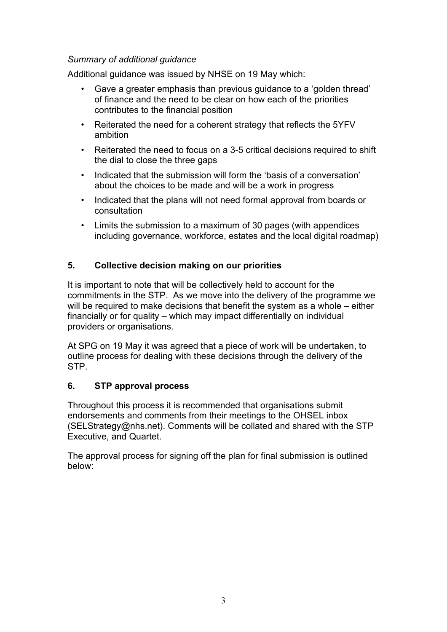#### *Summary of additional guidance*

Additional guidance was issued by NHSE on 19 May which:

- Gave a greater emphasis than previous guidance to a 'golden thread' of finance and the need to be clear on how each of the priorities contributes to the financial position
- Reiterated the need for a coherent strategy that reflects the 5YFV ambition
- Reiterated the need to focus on a 3-5 critical decisions required to shift the dial to close the three gaps
- Indicated that the submission will form the 'basis of a conversation' about the choices to be made and will be a work in progress
- Indicated that the plans will not need formal approval from boards or consultation
- Limits the submission to a maximum of 30 pages (with appendices including governance, workforce, estates and the local digital roadmap)

# **5. Collective decision making on our priorities**

It is important to note that will be collectively held to account for the commitments in the STP. As we move into the delivery of the programme we will be required to make decisions that benefit the system as a whole – either financially or for quality – which may impact differentially on individual providers or organisations.

At SPG on 19 May it was agreed that a piece of work will be undertaken, to outline process for dealing with these decisions through the delivery of the STP.

## **6. STP approval process**

Throughout this process it is recommended that organisations submit endorsements and comments from their meetings to the OHSEL inbox (SELStrategy@nhs.net). Comments will be collated and shared with the STP Executive, and Quartet.

The approval process for signing off the plan for final submission is outlined below: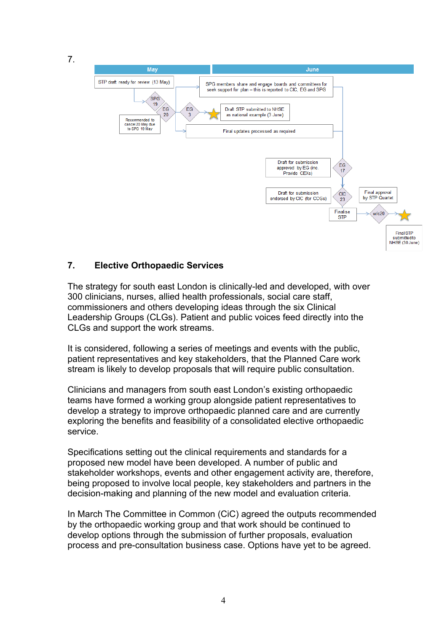7.



## **7. Elective Orthopaedic Services**

The strategy for south east London is clinically-led and developed, with over 300 clinicians, nurses, allied health professionals, social care staff, commissioners and others developing ideas through the six Clinical Leadership Groups (CLGs). Patient and public voices feed directly into the CLGs and support the work streams.

It is considered, following a series of meetings and events with the public, patient representatives and key stakeholders, that the Planned Care work stream is likely to develop proposals that will require public consultation.

Clinicians and managers from south east London's existing orthopaedic teams have formed a working group alongside patient representatives to develop a strategy to improve orthopaedic planned care and are currently exploring the benefits and feasibility of a consolidated elective orthopaedic service.

Specifications setting out the clinical requirements and standards for a proposed new model have been developed. A number of public and stakeholder workshops, events and other engagement activity are, therefore, being proposed to involve local people, key stakeholders and partners in the decision-making and planning of the new model and evaluation criteria.

In March The Committee in Common (CiC) agreed the outputs recommended by the orthopaedic working group and that work should be continued to develop options through the submission of further proposals, evaluation process and pre-consultation business case. Options have yet to be agreed.